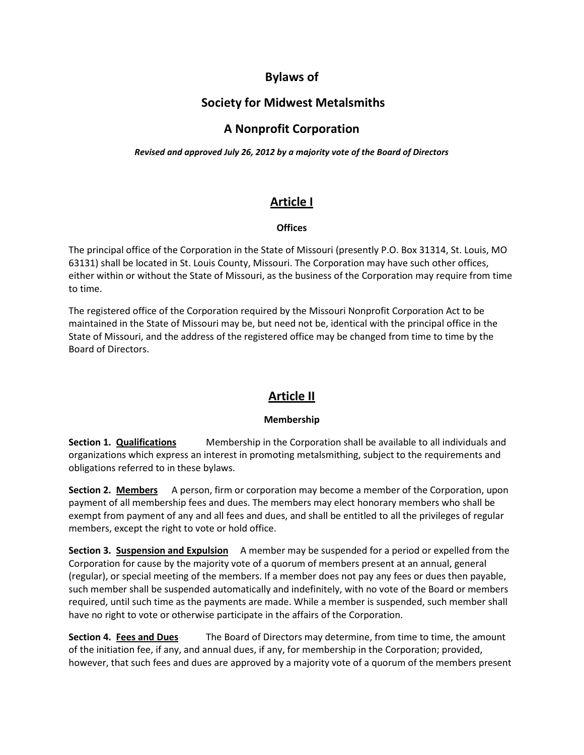### Bylaws of

## Society for Midwest Metalsmiths

## A Nonprofit Corporation

#### Revised and approved July 26, 2012 by a majority vote of the Board of Directors

## Article I

### **Offices**

The principal office of the Corporation in the State of Missouri (presently P.O. Box 31314, St. Louis, MO 63131) shall be located in St. Louis County, Missouri. The Corporation may have such other offices, either within or without the State of Missouri, as the business of the Corporation may require from time to time.

The registered office of the Corporation required by the Missouri Nonprofit Corporation Act to be maintained in the State of Missouri may be, but need not be, identical with the principal office in the State of Missouri, and the address of the registered office may be changed from time to time by the Board of Directors.

# Article II

### Membership

**Section 1. Qualifications** Membership in the Corporation shall be available to all individuals and organizations which express an interest in promoting metalsmithing, subject to the requirements and obligations referred to in these bylaws.

Section 2. Members A person, firm or corporation may become a member of the Corporation, upon payment of all membership fees and dues. The members may elect honorary members who shall be exempt from payment of any and all fees and dues, and shall be entitled to all the privileges of regular members, except the right to vote or hold office.

Section 3. Suspension and Expulsion A member may be suspended for a period or expelled from the Corporation for cause by the majority vote of a quorum of members present at an annual, general (regular), or special meeting of the members. If a member does not pay any fees or dues then payable, such member shall be suspended automatically and indefinitely, with no vote of the Board or members required, until such time as the payments are made. While a member is suspended, such member shall have no right to vote or otherwise participate in the affairs of the Corporation.

Section 4. Fees and Dues The Board of Directors may determine, from time to time, the amount of the initiation fee, if any, and annual dues, if any, for membership in the Corporation; provided, however, that such fees and dues are approved by a majority vote of a quorum of the members present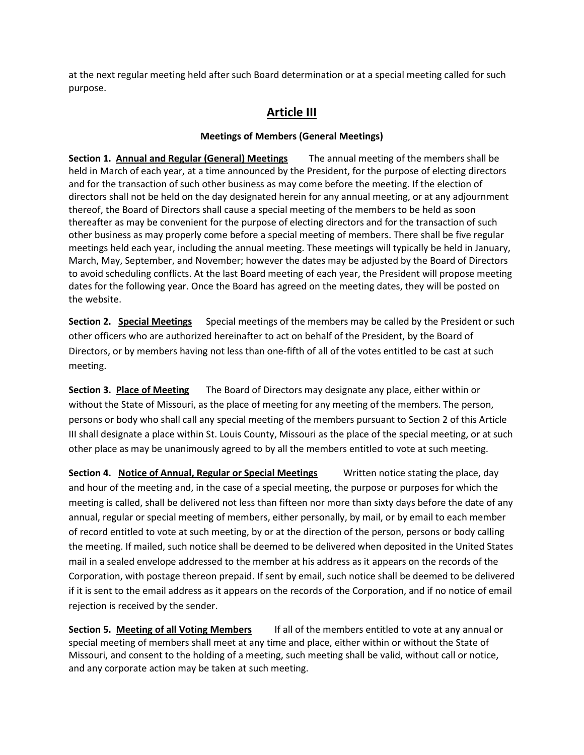at the next regular meeting held after such Board determination or at a special meeting called for such purpose.

# Article III

### Meetings of Members (General Meetings)

Section 1. Annual and Regular (General) Meetings The annual meeting of the members shall be held in March of each year, at a time announced by the President, for the purpose of electing directors and for the transaction of such other business as may come before the meeting. If the election of directors shall not be held on the day designated herein for any annual meeting, or at any adjournment thereof, the Board of Directors shall cause a special meeting of the members to be held as soon thereafter as may be convenient for the purpose of electing directors and for the transaction of such other business as may properly come before a special meeting of members. There shall be five regular meetings held each year, including the annual meeting. These meetings will typically be held in January, March, May, September, and November; however the dates may be adjusted by the Board of Directors to avoid scheduling conflicts. At the last Board meeting of each year, the President will propose meeting dates for the following year. Once the Board has agreed on the meeting dates, they will be posted on the website.

Section 2. Special Meetings Special meetings of the members may be called by the President or such other officers who are authorized hereinafter to act on behalf of the President, by the Board of Directors, or by members having not less than one-fifth of all of the votes entitled to be cast at such meeting.

Section 3. Place of Meeting The Board of Directors may designate any place, either within or without the State of Missouri, as the place of meeting for any meeting of the members. The person, persons or body who shall call any special meeting of the members pursuant to Section 2 of this Article III shall designate a place within St. Louis County, Missouri as the place of the special meeting, or at such other place as may be unanimously agreed to by all the members entitled to vote at such meeting.

Section 4. Notice of Annual, Regular or Special Meetings Written notice stating the place, day and hour of the meeting and, in the case of a special meeting, the purpose or purposes for which the meeting is called, shall be delivered not less than fifteen nor more than sixty days before the date of any annual, regular or special meeting of members, either personally, by mail, or by email to each member of record entitled to vote at such meeting, by or at the direction of the person, persons or body calling the meeting. If mailed, such notice shall be deemed to be delivered when deposited in the United States mail in a sealed envelope addressed to the member at his address as it appears on the records of the Corporation, with postage thereon prepaid. If sent by email, such notice shall be deemed to be delivered if it is sent to the email address as it appears on the records of the Corporation, and if no notice of email rejection is received by the sender.

Section 5. Meeting of all Voting Members If all of the members entitled to vote at any annual or special meeting of members shall meet at any time and place, either within or without the State of Missouri, and consent to the holding of a meeting, such meeting shall be valid, without call or notice, and any corporate action may be taken at such meeting.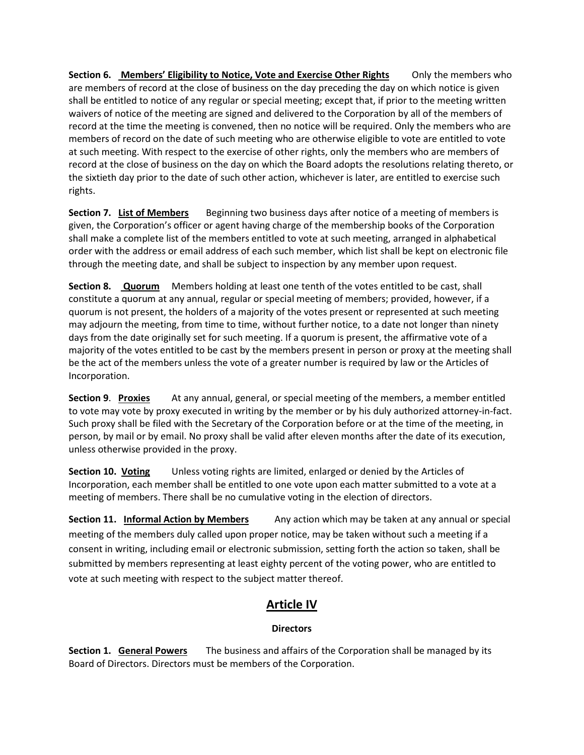Section 6. Members' Eligibility to Notice, Vote and Exercise Other Rights Only the members who are members of record at the close of business on the day preceding the day on which notice is given shall be entitled to notice of any regular or special meeting; except that, if prior to the meeting written waivers of notice of the meeting are signed and delivered to the Corporation by all of the members of record at the time the meeting is convened, then no notice will be required. Only the members who are members of record on the date of such meeting who are otherwise eligible to vote are entitled to vote at such meeting. With respect to the exercise of other rights, only the members who are members of record at the close of business on the day on which the Board adopts the resolutions relating thereto, or the sixtieth day prior to the date of such other action, whichever is later, are entitled to exercise such rights.

Section 7. List of Members Beginning two business days after notice of a meeting of members is given, the Corporation's officer or agent having charge of the membership books of the Corporation shall make a complete list of the members entitled to vote at such meeting, arranged in alphabetical order with the address or email address of each such member, which list shall be kept on electronic file through the meeting date, and shall be subject to inspection by any member upon request.

Section 8. Quorum Members holding at least one tenth of the votes entitled to be cast, shall constitute a quorum at any annual, regular or special meeting of members; provided, however, if a quorum is not present, the holders of a majority of the votes present or represented at such meeting may adjourn the meeting, from time to time, without further notice, to a date not longer than ninety days from the date originally set for such meeting. If a quorum is present, the affirmative vote of a majority of the votes entitled to be cast by the members present in person or proxy at the meeting shall be the act of the members unless the vote of a greater number is required by law or the Articles of Incorporation.

Section 9. Proxies At any annual, general, or special meeting of the members, a member entitled to vote may vote by proxy executed in writing by the member or by his duly authorized attorney-in-fact. Such proxy shall be filed with the Secretary of the Corporation before or at the time of the meeting, in person, by mail or by email. No proxy shall be valid after eleven months after the date of its execution, unless otherwise provided in the proxy.

Section 10. Voting Unless voting rights are limited, enlarged or denied by the Articles of Incorporation, each member shall be entitled to one vote upon each matter submitted to a vote at a meeting of members. There shall be no cumulative voting in the election of directors.

Section 11. **Informal Action by Members** Any action which may be taken at any annual or special meeting of the members duly called upon proper notice, may be taken without such a meeting if a consent in writing, including email or electronic submission, setting forth the action so taken, shall be submitted by members representing at least eighty percent of the voting power, who are entitled to vote at such meeting with respect to the subject matter thereof.

# Article IV

### **Directors**

Section 1. General Powers The business and affairs of the Corporation shall be managed by its Board of Directors. Directors must be members of the Corporation.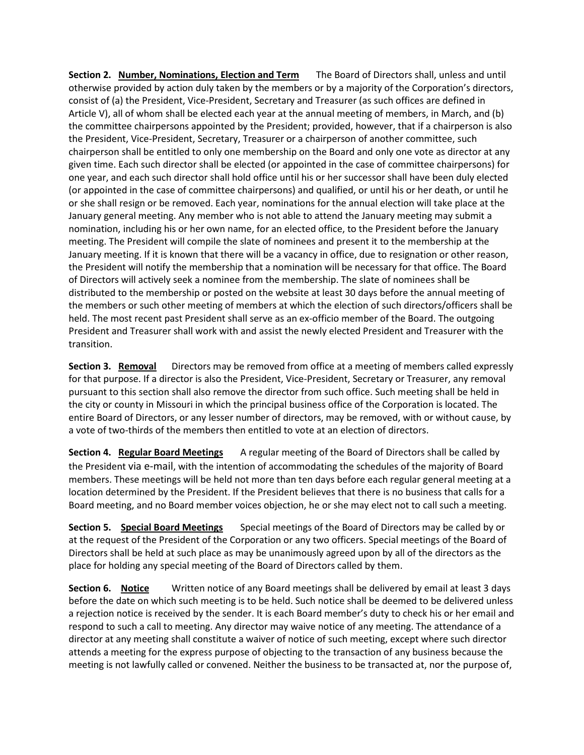Section 2. Number, Nominations, Election and Term The Board of Directors shall, unless and until otherwise provided by action duly taken by the members or by a majority of the Corporation's directors, consist of (a) the President, Vice-President, Secretary and Treasurer (as such offices are defined in Article V), all of whom shall be elected each year at the annual meeting of members, in March, and (b) the committee chairpersons appointed by the President; provided, however, that if a chairperson is also the President, Vice-President, Secretary, Treasurer or a chairperson of another committee, such chairperson shall be entitled to only one membership on the Board and only one vote as director at any given time. Each such director shall be elected (or appointed in the case of committee chairpersons) for one year, and each such director shall hold office until his or her successor shall have been duly elected (or appointed in the case of committee chairpersons) and qualified, or until his or her death, or until he or she shall resign or be removed. Each year, nominations for the annual election will take place at the January general meeting. Any member who is not able to attend the January meeting may submit a nomination, including his or her own name, for an elected office, to the President before the January meeting. The President will compile the slate of nominees and present it to the membership at the January meeting. If it is known that there will be a vacancy in office, due to resignation or other reason, the President will notify the membership that a nomination will be necessary for that office. The Board of Directors will actively seek a nominee from the membership. The slate of nominees shall be distributed to the membership or posted on the website at least 30 days before the annual meeting of the members or such other meeting of members at which the election of such directors/officers shall be held. The most recent past President shall serve as an ex-officio member of the Board. The outgoing President and Treasurer shall work with and assist the newly elected President and Treasurer with the transition.

Section 3. Removal Directors may be removed from office at a meeting of members called expressly for that purpose. If a director is also the President, Vice-President, Secretary or Treasurer, any removal pursuant to this section shall also remove the director from such office. Such meeting shall be held in the city or county in Missouri in which the principal business office of the Corporation is located. The entire Board of Directors, or any lesser number of directors, may be removed, with or without cause, by a vote of two-thirds of the members then entitled to vote at an election of directors.

Section 4. Regular Board Meetings A regular meeting of the Board of Directors shall be called by the President via e-mail, with the intention of accommodating the schedules of the majority of Board members. These meetings will be held not more than ten days before each regular general meeting at a location determined by the President. If the President believes that there is no business that calls for a Board meeting, and no Board member voices objection, he or she may elect not to call such a meeting.

Section 5. Special Board Meetings Special meetings of the Board of Directors may be called by or at the request of the President of the Corporation or any two officers. Special meetings of the Board of Directors shall be held at such place as may be unanimously agreed upon by all of the directors as the place for holding any special meeting of the Board of Directors called by them.

Section 6. Notice Written notice of any Board meetings shall be delivered by email at least 3 days before the date on which such meeting is to be held. Such notice shall be deemed to be delivered unless a rejection notice is received by the sender. It is each Board member's duty to check his or her email and respond to such a call to meeting. Any director may waive notice of any meeting. The attendance of a director at any meeting shall constitute a waiver of notice of such meeting, except where such director attends a meeting for the express purpose of objecting to the transaction of any business because the meeting is not lawfully called or convened. Neither the business to be transacted at, nor the purpose of,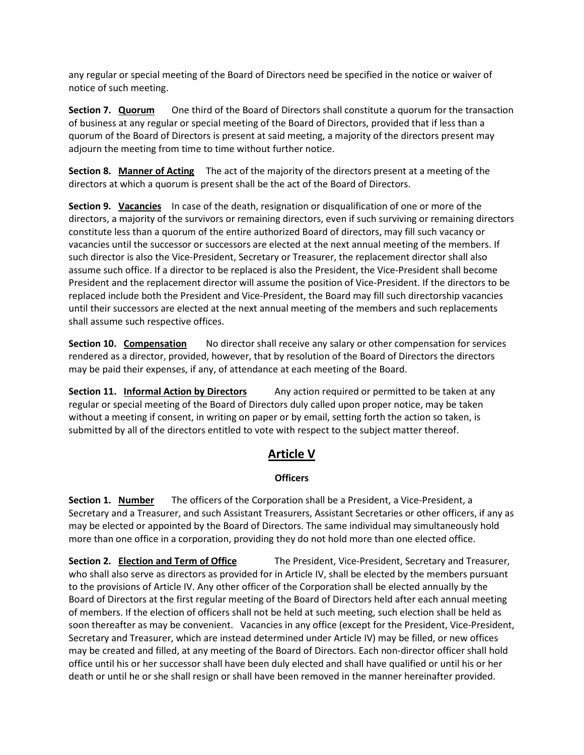any regular or special meeting of the Board of Directors need be specified in the notice or waiver of notice of such meeting.

Section 7. **Quorum** One third of the Board of Directors shall constitute a quorum for the transaction of business at any regular or special meeting of the Board of Directors, provided that if less than a quorum of the Board of Directors is present at said meeting, a majority of the directors present may adjourn the meeting from time to time without further notice.

Section 8. Manner of Acting The act of the majority of the directors present at a meeting of the directors at which a quorum is present shall be the act of the Board of Directors.

**Section 9. Vacancies** In case of the death, resignation or disqualification of one or more of the directors, a majority of the survivors or remaining directors, even if such surviving or remaining directors constitute less than a quorum of the entire authorized Board of directors, may fill such vacancy or vacancies until the successor or successors are elected at the next annual meeting of the members. If such director is also the Vice-President, Secretary or Treasurer, the replacement director shall also assume such office. If a director to be replaced is also the President, the Vice-President shall become President and the replacement director will assume the position of Vice-President. If the directors to be replaced include both the President and Vice-President, the Board may fill such directorship vacancies until their successors are elected at the next annual meeting of the members and such replacements shall assume such respective offices.

Section 10. Compensation No director shall receive any salary or other compensation for services rendered as a director, provided, however, that by resolution of the Board of Directors the directors may be paid their expenses, if any, of attendance at each meeting of the Board.

Section 11. **Informal Action by Directors** Any action required or permitted to be taken at any regular or special meeting of the Board of Directors duly called upon proper notice, may be taken without a meeting if consent, in writing on paper or by email, setting forth the action so taken, is submitted by all of the directors entitled to vote with respect to the subject matter thereof.

### Article V

### **Officers**

**Section 1. Number** The officers of the Corporation shall be a President, a Vice-President, a Secretary and a Treasurer, and such Assistant Treasurers, Assistant Secretaries or other officers, if any as may be elected or appointed by the Board of Directors. The same individual may simultaneously hold more than one office in a corporation, providing they do not hold more than one elected office.

Section 2. Election and Term of Office The President, Vice-President, Secretary and Treasurer, who shall also serve as directors as provided for in Article IV, shall be elected by the members pursuant to the provisions of Article IV. Any other officer of the Corporation shall be elected annually by the Board of Directors at the first regular meeting of the Board of Directors held after each annual meeting of members. If the election of officers shall not be held at such meeting, such election shall be held as soon thereafter as may be convenient. Vacancies in any office (except for the President, Vice-President, Secretary and Treasurer, which are instead determined under Article IV) may be filled, or new offices may be created and filled, at any meeting of the Board of Directors. Each non-director officer shall hold office until his or her successor shall have been duly elected and shall have qualified or until his or her death or until he or she shall resign or shall have been removed in the manner hereinafter provided.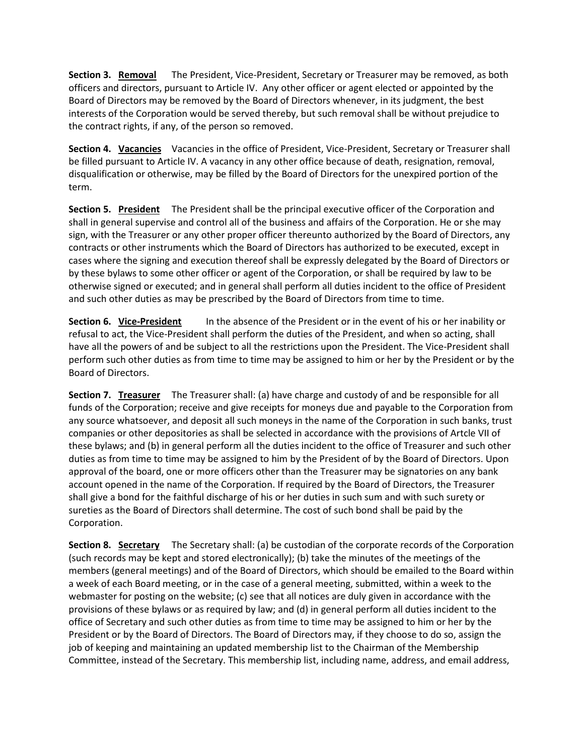Section 3. Removal The President, Vice-President, Secretary or Treasurer may be removed, as both officers and directors, pursuant to Article IV. Any other officer or agent elected or appointed by the Board of Directors may be removed by the Board of Directors whenever, in its judgment, the best interests of the Corporation would be served thereby, but such removal shall be without prejudice to the contract rights, if any, of the person so removed.

Section 4. Vacancies Vacancies in the office of President, Vice-President, Secretary or Treasurer shall be filled pursuant to Article IV. A vacancy in any other office because of death, resignation, removal, disqualification or otherwise, may be filled by the Board of Directors for the unexpired portion of the term.

Section 5. President The President shall be the principal executive officer of the Corporation and shall in general supervise and control all of the business and affairs of the Corporation. He or she may sign, with the Treasurer or any other proper officer thereunto authorized by the Board of Directors, any contracts or other instruments which the Board of Directors has authorized to be executed, except in cases where the signing and execution thereof shall be expressly delegated by the Board of Directors or by these bylaws to some other officer or agent of the Corporation, or shall be required by law to be otherwise signed or executed; and in general shall perform all duties incident to the office of President and such other duties as may be prescribed by the Board of Directors from time to time.

Section 6. Vice-President In the absence of the President or in the event of his or her inability or refusal to act, the Vice-President shall perform the duties of the President, and when so acting, shall have all the powers of and be subject to all the restrictions upon the President. The Vice-President shall perform such other duties as from time to time may be assigned to him or her by the President or by the Board of Directors.

Section 7. Treasurer The Treasurer shall: (a) have charge and custody of and be responsible for all funds of the Corporation; receive and give receipts for moneys due and payable to the Corporation from any source whatsoever, and deposit all such moneys in the name of the Corporation in such banks, trust companies or other depositories as shall be selected in accordance with the provisions of Artcle VII of these bylaws; and (b) in general perform all the duties incident to the office of Treasurer and such other duties as from time to time may be assigned to him by the President of by the Board of Directors. Upon approval of the board, one or more officers other than the Treasurer may be signatories on any bank account opened in the name of the Corporation. If required by the Board of Directors, the Treasurer shall give a bond for the faithful discharge of his or her duties in such sum and with such surety or sureties as the Board of Directors shall determine. The cost of such bond shall be paid by the Corporation.

Section 8. Secretary The Secretary shall: (a) be custodian of the corporate records of the Corporation (such records may be kept and stored electronically); (b) take the minutes of the meetings of the members (general meetings) and of the Board of Directors, which should be emailed to the Board within a week of each Board meeting, or in the case of a general meeting, submitted, within a week to the webmaster for posting on the website; (c) see that all notices are duly given in accordance with the provisions of these bylaws or as required by law; and (d) in general perform all duties incident to the office of Secretary and such other duties as from time to time may be assigned to him or her by the President or by the Board of Directors. The Board of Directors may, if they choose to do so, assign the job of keeping and maintaining an updated membership list to the Chairman of the Membership Committee, instead of the Secretary. This membership list, including name, address, and email address,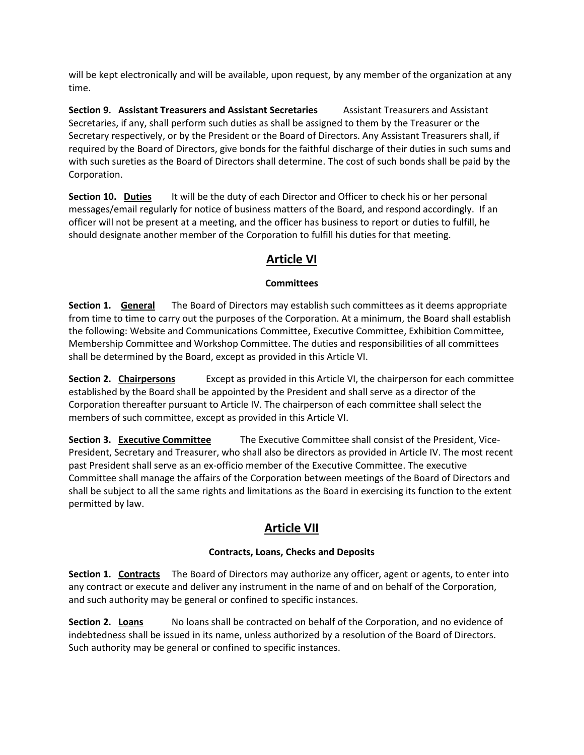will be kept electronically and will be available, upon request, by any member of the organization at any time.

Section 9. **Assistant Treasurers and Assistant Secretaries** Assistant Treasurers and Assistant Secretaries, if any, shall perform such duties as shall be assigned to them by the Treasurer or the Secretary respectively, or by the President or the Board of Directors. Any Assistant Treasurers shall, if required by the Board of Directors, give bonds for the faithful discharge of their duties in such sums and with such sureties as the Board of Directors shall determine. The cost of such bonds shall be paid by the Corporation.

Section 10. Duties It will be the duty of each Director and Officer to check his or her personal messages/email regularly for notice of business matters of the Board, and respond accordingly. If an officer will not be present at a meeting, and the officer has business to report or duties to fulfill, he should designate another member of the Corporation to fulfill his duties for that meeting.

# Article VI

### **Committees**

**Section 1. General** The Board of Directors may establish such committees as it deems appropriate from time to time to carry out the purposes of the Corporation. At a minimum, the Board shall establish the following: Website and Communications Committee, Executive Committee, Exhibition Committee, Membership Committee and Workshop Committee. The duties and responsibilities of all committees shall be determined by the Board, except as provided in this Article VI.

Section 2. Chairpersons Except as provided in this Article VI, the chairperson for each committee established by the Board shall be appointed by the President and shall serve as a director of the Corporation thereafter pursuant to Article IV. The chairperson of each committee shall select the members of such committee, except as provided in this Article VI.

Section 3. Executive Committee The Executive Committee shall consist of the President, Vice-President, Secretary and Treasurer, who shall also be directors as provided in Article IV. The most recent past President shall serve as an ex-officio member of the Executive Committee. The executive Committee shall manage the affairs of the Corporation between meetings of the Board of Directors and shall be subject to all the same rights and limitations as the Board in exercising its function to the extent permitted by law.

# Article VII

### Contracts, Loans, Checks and Deposits

Section 1. Contracts The Board of Directors may authorize any officer, agent or agents, to enter into any contract or execute and deliver any instrument in the name of and on behalf of the Corporation, and such authority may be general or confined to specific instances.

Section 2. Loans No loans shall be contracted on behalf of the Corporation, and no evidence of indebtedness shall be issued in its name, unless authorized by a resolution of the Board of Directors. Such authority may be general or confined to specific instances.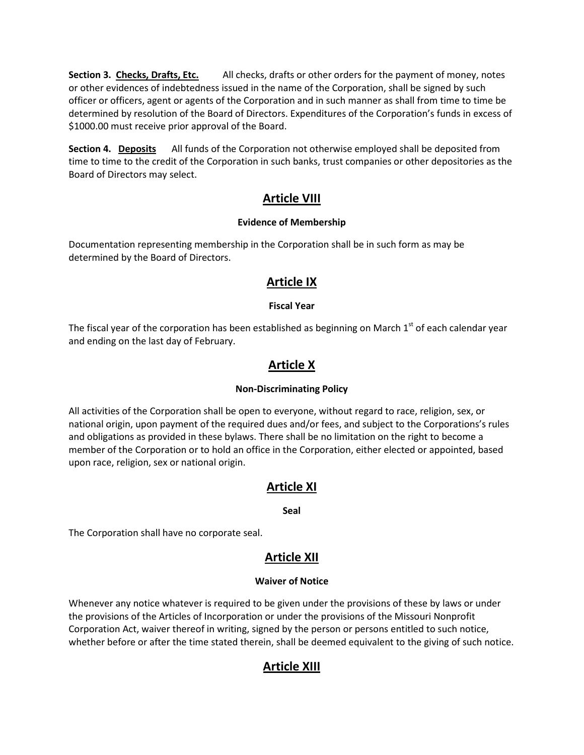Section 3. Checks, Drafts, Etc. All checks, drafts or other orders for the payment of money, notes or other evidences of indebtedness issued in the name of the Corporation, shall be signed by such officer or officers, agent or agents of the Corporation and in such manner as shall from time to time be determined by resolution of the Board of Directors. Expenditures of the Corporation's funds in excess of \$1000.00 must receive prior approval of the Board.

**Section 4.** Deposits All funds of the Corporation not otherwise employed shall be deposited from time to time to the credit of the Corporation in such banks, trust companies or other depositories as the Board of Directors may select.

# Article VIII

### Evidence of Membership

Documentation representing membership in the Corporation shall be in such form as may be determined by the Board of Directors.

# Article IX

### Fiscal Year

The fiscal year of the corporation has been established as beginning on March  $1<sup>st</sup>$  of each calendar year and ending on the last day of February.

# Article X

### Non-Discriminating Policy

All activities of the Corporation shall be open to everyone, without regard to race, religion, sex, or national origin, upon payment of the required dues and/or fees, and subject to the Corporations's rules and obligations as provided in these bylaws. There shall be no limitation on the right to become a member of the Corporation or to hold an office in the Corporation, either elected or appointed, based upon race, religion, sex or national origin.

# Article XI

Seal

The Corporation shall have no corporate seal.

# Article XII

### Waiver of Notice

Whenever any notice whatever is required to be given under the provisions of these by laws or under the provisions of the Articles of Incorporation or under the provisions of the Missouri Nonprofit Corporation Act, waiver thereof in writing, signed by the person or persons entitled to such notice, whether before or after the time stated therein, shall be deemed equivalent to the giving of such notice.

# Article XIII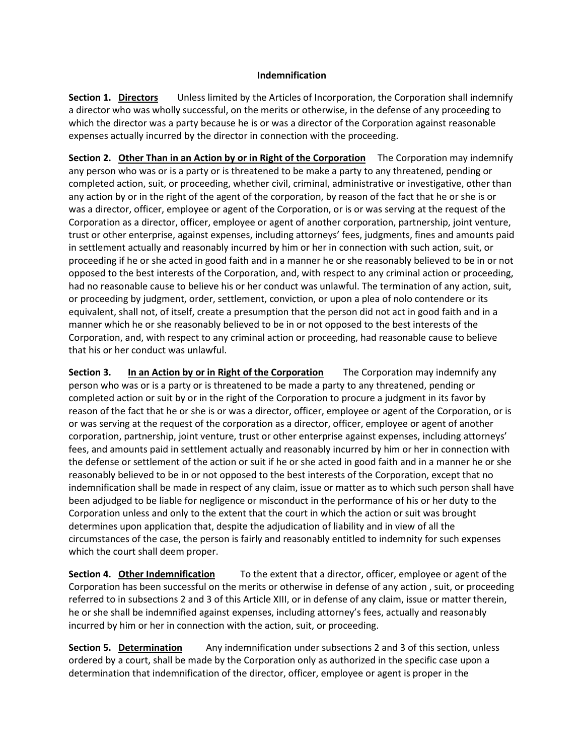#### Indemnification

Section 1. Directors Unless limited by the Articles of Incorporation, the Corporation shall indemnify a director who was wholly successful, on the merits or otherwise, in the defense of any proceeding to which the director was a party because he is or was a director of the Corporation against reasonable expenses actually incurred by the director in connection with the proceeding.

Section 2. Other Than in an Action by or in Right of the Corporation The Corporation may indemnify any person who was or is a party or is threatened to be make a party to any threatened, pending or completed action, suit, or proceeding, whether civil, criminal, administrative or investigative, other than any action by or in the right of the agent of the corporation, by reason of the fact that he or she is or was a director, officer, employee or agent of the Corporation, or is or was serving at the request of the Corporation as a director, officer, employee or agent of another corporation, partnership, joint venture, trust or other enterprise, against expenses, including attorneys' fees, judgments, fines and amounts paid in settlement actually and reasonably incurred by him or her in connection with such action, suit, or proceeding if he or she acted in good faith and in a manner he or she reasonably believed to be in or not opposed to the best interests of the Corporation, and, with respect to any criminal action or proceeding, had no reasonable cause to believe his or her conduct was unlawful. The termination of any action, suit, or proceeding by judgment, order, settlement, conviction, or upon a plea of nolo contendere or its equivalent, shall not, of itself, create a presumption that the person did not act in good faith and in a manner which he or she reasonably believed to be in or not opposed to the best interests of the Corporation, and, with respect to any criminal action or proceeding, had reasonable cause to believe that his or her conduct was unlawful.

Section 3. In an Action by or in Right of the Corporation The Corporation may indemnify any person who was or is a party or is threatened to be made a party to any threatened, pending or completed action or suit by or in the right of the Corporation to procure a judgment in its favor by reason of the fact that he or she is or was a director, officer, employee or agent of the Corporation, or is or was serving at the request of the corporation as a director, officer, employee or agent of another corporation, partnership, joint venture, trust or other enterprise against expenses, including attorneys' fees, and amounts paid in settlement actually and reasonably incurred by him or her in connection with the defense or settlement of the action or suit if he or she acted in good faith and in a manner he or she reasonably believed to be in or not opposed to the best interests of the Corporation, except that no indemnification shall be made in respect of any claim, issue or matter as to which such person shall have been adjudged to be liable for negligence or misconduct in the performance of his or her duty to the Corporation unless and only to the extent that the court in which the action or suit was brought determines upon application that, despite the adjudication of liability and in view of all the circumstances of the case, the person is fairly and reasonably entitled to indemnity for such expenses which the court shall deem proper.

**Section 4.** Other Indemnification To the extent that a director, officer, employee or agent of the Corporation has been successful on the merits or otherwise in defense of any action , suit, or proceeding referred to in subsections 2 and 3 of this Article XIII, or in defense of any claim, issue or matter therein, he or she shall be indemnified against expenses, including attorney's fees, actually and reasonably incurred by him or her in connection with the action, suit, or proceeding.

Section 5. Determination Any indemnification under subsections 2 and 3 of this section, unless ordered by a court, shall be made by the Corporation only as authorized in the specific case upon a determination that indemnification of the director, officer, employee or agent is proper in the